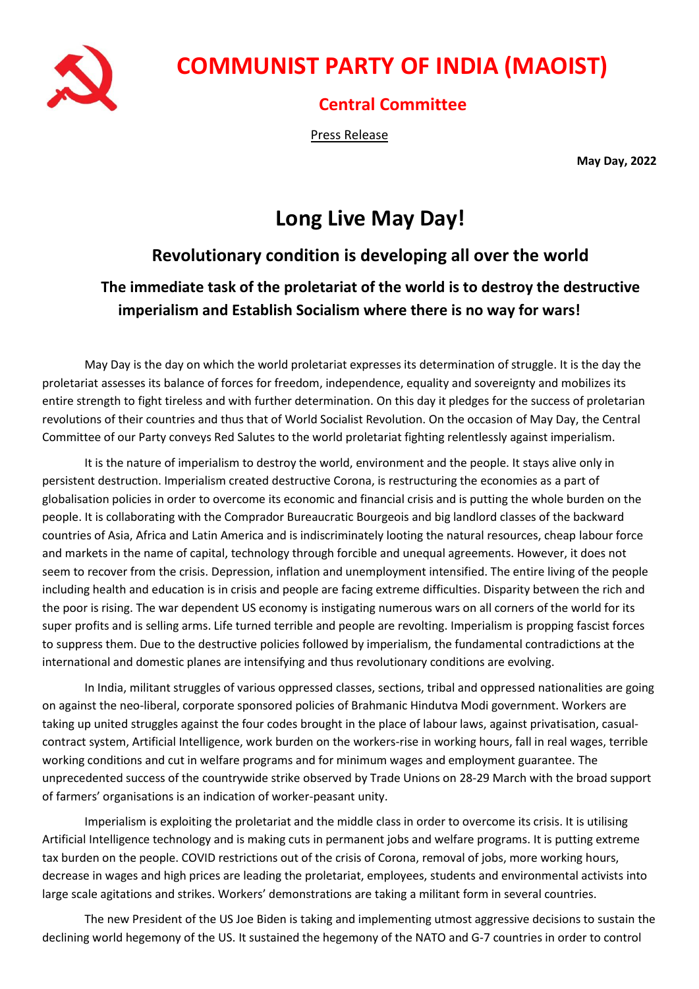

# **COMMUNIST PARTY OF INDIA (MAOIST)**

#### **Central Committee**

Press Release

**May Day, 2022**

# **Long Live May Day!**

## **Revolutionary condition is developing all over the world**

### **The immediate task of the proletariat of the world is to destroy the destructive imperialism and Establish Socialism where there is no way for wars!**

May Day is the day on which the world proletariat expresses its determination of struggle. It is the day the proletariat assesses its balance of forces for freedom, independence, equality and sovereignty and mobilizes its entire strength to fight tireless and with further determination. On this day it pledges for the success of proletarian revolutions of their countries and thus that of World Socialist Revolution. On the occasion of May Day, the Central Committee of our Party conveys Red Salutes to the world proletariat fighting relentlessly against imperialism.

It is the nature of imperialism to destroy the world, environment and the people. It stays alive only in persistent destruction. Imperialism created destructive Corona, is restructuring the economies as a part of globalisation policies in order to overcome its economic and financial crisis and is putting the whole burden on the people. It is collaborating with the Comprador Bureaucratic Bourgeois and big landlord classes of the backward countries of Asia, Africa and Latin America and is indiscriminately looting the natural resources, cheap labour force and markets in the name of capital, technology through forcible and unequal agreements. However, it does not seem to recover from the crisis. Depression, inflation and unemployment intensified. The entire living of the people including health and education is in crisis and people are facing extreme difficulties. Disparity between the rich and the poor is rising. The war dependent US economy is instigating numerous wars on all corners of the world for its super profits and is selling arms. Life turned terrible and people are revolting. Imperialism is propping fascist forces to suppress them. Due to the destructive policies followed by imperialism, the fundamental contradictions at the international and domestic planes are intensifying and thus revolutionary conditions are evolving.

In India, militant struggles of various oppressed classes, sections, tribal and oppressed nationalities are going on against the neo-liberal, corporate sponsored policies of Brahmanic Hindutva Modi government. Workers are taking up united struggles against the four codes brought in the place of labour laws, against privatisation, casualcontract system, Artificial Intelligence, work burden on the workers-rise in working hours, fall in real wages, terrible working conditions and cut in welfare programs and for minimum wages and employment guarantee. The unprecedented success of the countrywide strike observed by Trade Unions on 28-29 March with the broad support of farmers' organisations is an indication of worker-peasant unity.

Imperialism is exploiting the proletariat and the middle class in order to overcome its crisis. It is utilising Artificial Intelligence technology and is making cuts in permanent jobs and welfare programs. It is putting extreme tax burden on the people. COVID restrictions out of the crisis of Corona, removal of jobs, more working hours, decrease in wages and high prices are leading the proletariat, employees, students and environmental activists into large scale agitations and strikes. Workers' demonstrations are taking a militant form in several countries.

The new President of the US Joe Biden is taking and implementing utmost aggressive decisions to sustain the declining world hegemony of the US. It sustained the hegemony of the NATO and G-7 countries in order to control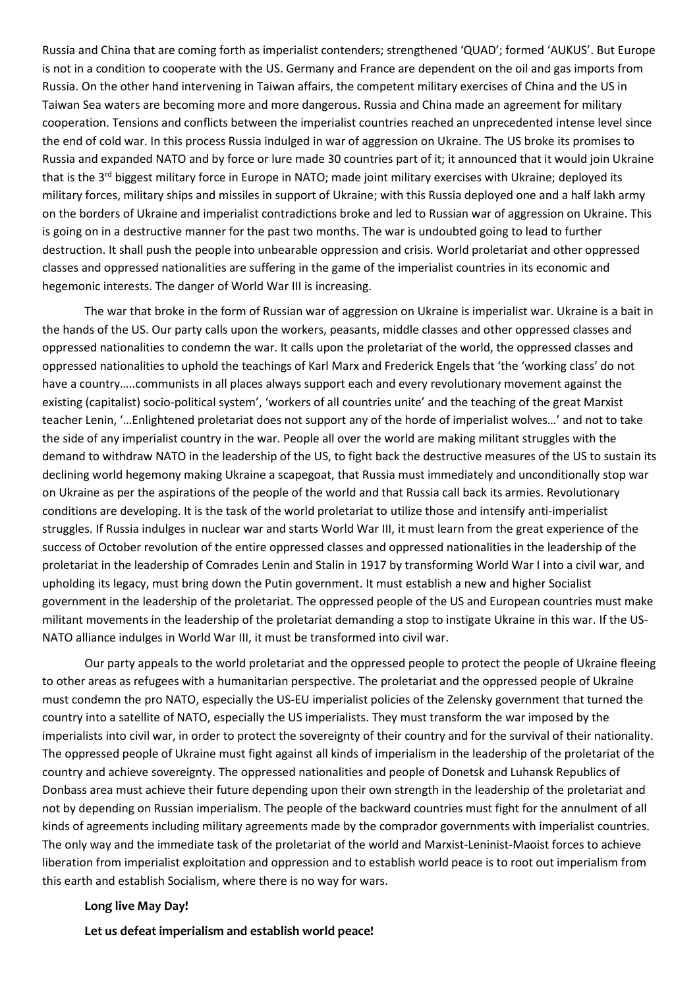Russia and China that are coming forth as imperialist contenders; strengthened 'QUAD'; formed 'AUKUS'. But Europe is not in a condition to cooperate with the US. Germany and France are dependent on the oil and gas imports from Russia. On the other hand intervening in Taiwan affairs, the competent military exercises of China and the US in Taiwan Sea waters are becoming more and more dangerous. Russia and China made an agreement for military cooperation. Tensions and conflicts between the imperialist countries reached an unprecedented intense level since the end of cold war. In this process Russia indulged in war of aggression on Ukraine. The US broke its promises to Russia and expanded NATO and by force or lure made 30 countries part of it; it announced that it would join Ukraine that is the  $3<sup>rd</sup>$  biggest military force in Europe in NATO; made joint military exercises with Ukraine; deployed its military forces, military ships and missiles in support of Ukraine; with this Russia deployed one and a half lakh army on the borders of Ukraine and imperialist contradictions broke and led to Russian war of aggression on Ukraine. This is going on in a destructive manner for the past two months. The war is undoubted going to lead to further destruction. It shall push the people into unbearable oppression and crisis. World proletariat and other oppressed classes and oppressed nationalities are suffering in the game of the imperialist countries in its economic and hegemonic interests. The danger of World War III is increasing.

The war that broke in the form of Russian war of aggression on Ukraine is imperialist war. Ukraine is a bait in the hands of the US. Our party calls upon the workers, peasants, middle classes and other oppressed classes and oppressed nationalities to condemn the war. It calls upon the proletariat of the world, the oppressed classes and oppressed nationalities to uphold the teachings of Karl Marx and Frederick Engels that 'the 'working class' do not have a country…..communists in all places always support each and every revolutionary movement against the existing (capitalist) socio-political system', 'workers of all countries unite' and the teaching of the great Marxist teacher Lenin, '…Enlightened proletariat does not support any of the horde of imperialist wolves…' and not to take the side of any imperialist country in the war. People all over the world are making militant struggles with the demand to withdraw NATO in the leadership of the US, to fight back the destructive measures of the US to sustain its declining world hegemony making Ukraine a scapegoat, that Russia must immediately and unconditionally stop war on Ukraine as per the aspirations of the people of the world and that Russia call back its armies. Revolutionary conditions are developing. It is the task of the world proletariat to utilize those and intensify anti-imperialist struggles. If Russia indulges in nuclear war and starts World War III, it must learn from the great experience of the success of October revolution of the entire oppressed classes and oppressed nationalities in the leadership of the proletariat in the leadership of Comrades Lenin and Stalin in 1917 by transforming World War I into a civil war, and upholding its legacy, must bring down the Putin government. It must establish a new and higher Socialist government in the leadership of the proletariat. The oppressed people of the US and European countries must make militant movements in the leadership of the proletariat demanding a stop to instigate Ukraine in this war. If the US-NATO alliance indulges in World War III, it must be transformed into civil war.

Our party appeals to the world proletariat and the oppressed people to protect the people of Ukraine fleeing to other areas as refugees with a humanitarian perspective. The proletariat and the oppressed people of Ukraine must condemn the pro NATO, especially the US-EU imperialist policies of the Zelensky government that turned the country into a satellite of NATO, especially the US imperialists. They must transform the war imposed by the imperialists into civil war, in order to protect the sovereignty of their country and for the survival of their nationality. The oppressed people of Ukraine must fight against all kinds of imperialism in the leadership of the proletariat of the country and achieve sovereignty. The oppressed nationalities and people of Donetsk and Luhansk Republics of Donbass area must achieve their future depending upon their own strength in the leadership of the proletariat and not by depending on Russian imperialism. The people of the backward countries must fight for the annulment of all kinds of agreements including military agreements made by the comprador governments with imperialist countries. The only way and the immediate task of the proletariat of the world and Marxist-Leninist-Maoist forces to achieve liberation from imperialist exploitation and oppression and to establish world peace is to root out imperialism from this earth and establish Socialism, where there is no way for wars.

#### **Long live May Day!**

**Let us defeat imperialism and establish world peace!**